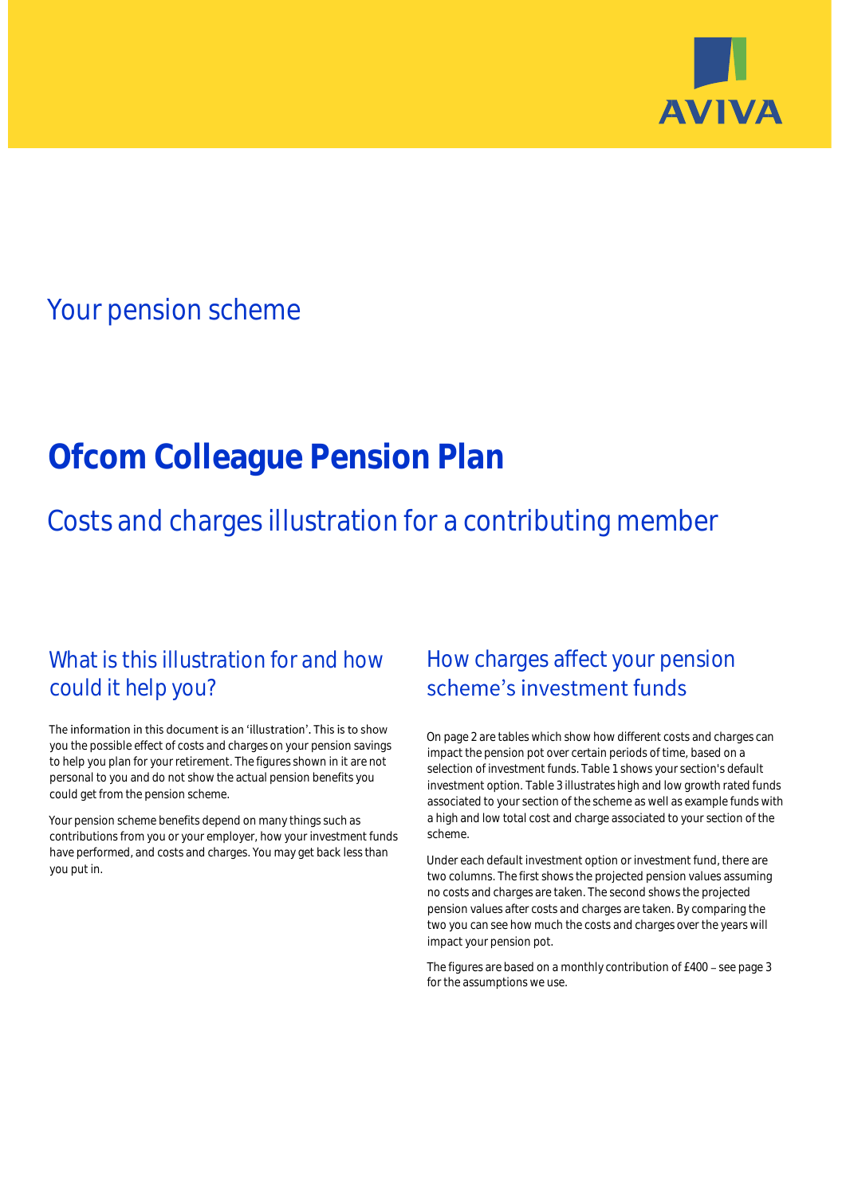

## Your pension scheme

# **Ofcom Colleague Pension Plan**

Costs and charges illustration for a contributing member

### What is this illustration for and how could it help you?

#### The information in this document is an 'illustration'. This is to show you the possible effect of costs and charges on your pension savings to help you plan for your retirement. The figures shown in it are not personal to you and do not show the actual pension benefits you could get from the pension scheme.

Your pension scheme benefits depend on many things such as contributions from you or your employer, how your investment funds have performed, and costs and charges. You may get back less than you put in.

### How charges affect your pension scheme's investment funds

On page 2 are tables which show how different costs and charges can impact the pension pot over certain periods of time, based on a selection of investment funds. Table 1 shows your section's default investment option. Table 3 illustrates high and low growth rated funds associated to your section of the scheme as well as example funds with a high and low total cost and charge associated to your section of the scheme.

Under each default investment option or investment fund, there are two columns. The first shows the projected pension values assuming no costs and charges are taken. The second shows the projected pension values after costs and charges are taken. By comparing the two you can see how much the costs and charges over the years will impact your pension pot.

The figures are based on a monthly contribution of £400 - see page 3 for the assumptions we use.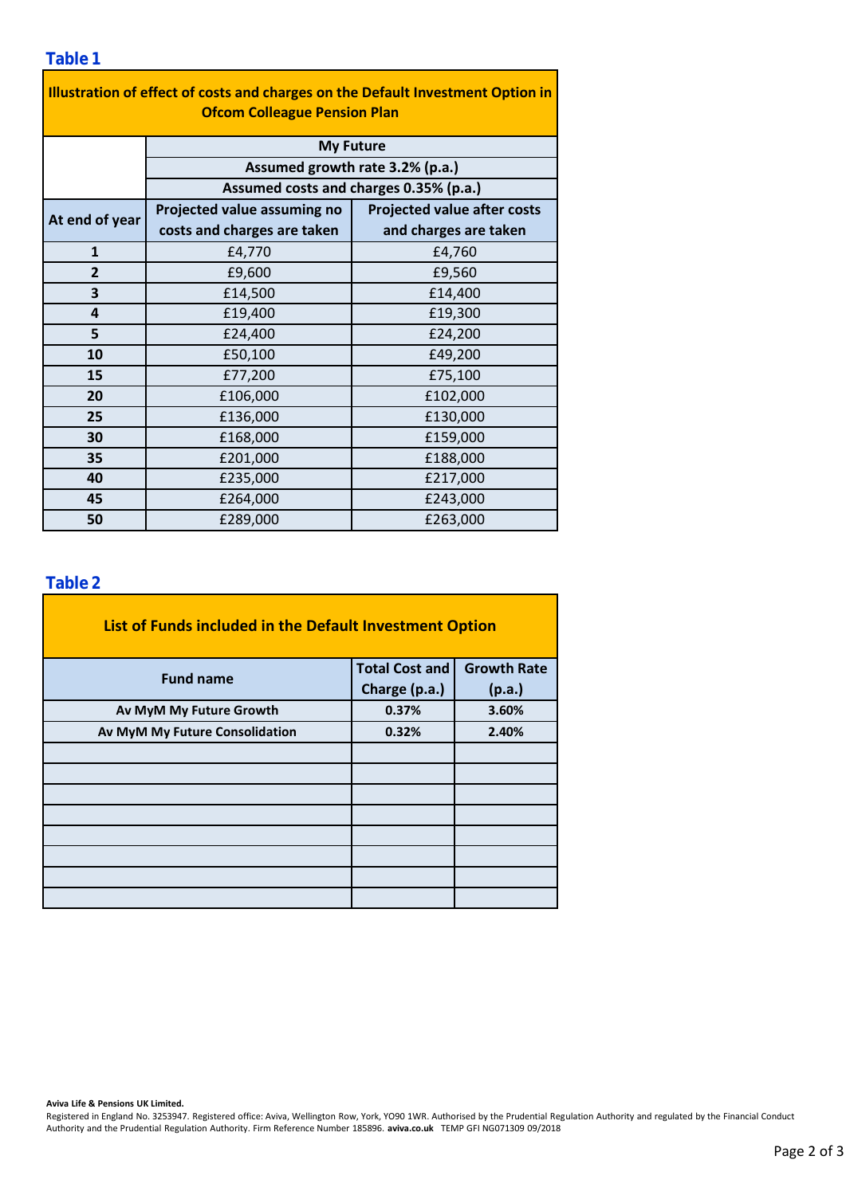| Illustration of effect of costs and charges on the Default Investment Option in<br><b>Ofcom Colleague Pension Plan</b> |                                        |                                    |  |  |  |  |  |  |
|------------------------------------------------------------------------------------------------------------------------|----------------------------------------|------------------------------------|--|--|--|--|--|--|
|                                                                                                                        | <b>My Future</b>                       |                                    |  |  |  |  |  |  |
|                                                                                                                        | Assumed growth rate 3.2% (p.a.)        |                                    |  |  |  |  |  |  |
|                                                                                                                        | Assumed costs and charges 0.35% (p.a.) |                                    |  |  |  |  |  |  |
| At end of year                                                                                                         | Projected value assuming no            | <b>Projected value after costs</b> |  |  |  |  |  |  |
|                                                                                                                        | costs and charges are taken            | and charges are taken              |  |  |  |  |  |  |
| $\mathbf{1}$                                                                                                           | £4,770                                 | £4,760                             |  |  |  |  |  |  |
| $\overline{2}$                                                                                                         | £9,600                                 | £9,560                             |  |  |  |  |  |  |
| 3                                                                                                                      | £14,500                                | £14,400                            |  |  |  |  |  |  |
| 4                                                                                                                      | £19,400                                | £19,300                            |  |  |  |  |  |  |
| 5                                                                                                                      | £24,400                                | £24,200                            |  |  |  |  |  |  |
| 10                                                                                                                     | £50,100                                | £49,200                            |  |  |  |  |  |  |
| 15                                                                                                                     | £77,200                                | £75,100                            |  |  |  |  |  |  |
| 20                                                                                                                     | £106,000                               | £102,000                           |  |  |  |  |  |  |
| 25                                                                                                                     | £136,000                               | £130,000                           |  |  |  |  |  |  |
| 30                                                                                                                     | £168,000                               | £159,000                           |  |  |  |  |  |  |
| 35                                                                                                                     | £201,000                               | £188,000                           |  |  |  |  |  |  |
| 40                                                                                                                     | £235,000                               | £217,000                           |  |  |  |  |  |  |
| 45                                                                                                                     | £264,000                               | £243,000                           |  |  |  |  |  |  |
| 50                                                                                                                     | £289,000                               | £263,000                           |  |  |  |  |  |  |

÷,

### **Table 2**

| <b>Fund name</b>               | List of Funds included in the Default Investment Option<br><b>Growth Rate</b><br><b>Total Cost and</b><br>Charge (p.a.)<br>(p.a.)<br>0.37%<br>3.60%<br>0.32%<br>2.40% |  |
|--------------------------------|-----------------------------------------------------------------------------------------------------------------------------------------------------------------------|--|
|                                |                                                                                                                                                                       |  |
| Av MyM My Future Growth        |                                                                                                                                                                       |  |
| Av MyM My Future Consolidation |                                                                                                                                                                       |  |
|                                |                                                                                                                                                                       |  |
|                                |                                                                                                                                                                       |  |
|                                |                                                                                                                                                                       |  |
|                                |                                                                                                                                                                       |  |
|                                |                                                                                                                                                                       |  |
|                                |                                                                                                                                                                       |  |
|                                |                                                                                                                                                                       |  |
|                                |                                                                                                                                                                       |  |

#### **Aviva Life & Pensions UK Limited.**

Registered in England No. 3253947. Registered office: Aviva, Wellington Row, York, YO90 1WR. Authorised by the Prudential Regulation Authority and regulated by the Financial Conduct Authority and the Prudential Regulation Authority. Firm Reference Number 185896. **aviva.co.uk** TEMP GFI NG071309 09/2018